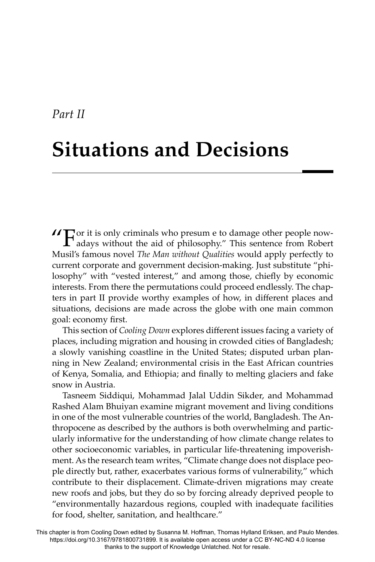## *Part II*

## **Situations and Decisions**

 $\overline{P}$   $\overline{P}$  adays without the aid of philosophy." This sentence from Robert Musil's famous novel *The Man without Qualities* would apply perfectly to current corporate and government decision-making. Just substitute "philosophy" with "vested interest," and among those, chiefly by economic interests. From there the permutations could proceed endlessly. The chapters in part II provide worthy examples of how, in different places and situations, decisions are made across the globe with one main common goal: economy first.

This section of *Cooling Down* explores different issues facing a variety of places, including migration and housing in crowded cities of Bangladesh; a slowly vanishing coastline in the United States; disputed urban planning in New Zealand; environmental crisis in the East African countries of Kenya, Somalia, and Ethiopia; and finally to melting glaciers and fake snow in Austria.

Tasneem Siddiqui, Mohammad Jalal Uddin Sikder, and Mohammad Rashed Alam Bhuiyan examine migrant movement and living conditions in one of the most vulnerable countries of the world, Bangladesh. The Anthropocene as described by the authors is both overwhelming and particularly informative for the understanding of how climate change relates to other socioeconomic variables, in particular life-threatening impoverishment. As the research team writes, "Climate change does not displace people directly but, rather, exacerbates various forms of vulnerability," which contribute to their displacement. Climate-driven migrations may create new roofs and jobs, but they do so by forcing already deprived people to "environmentally hazardous regions, coupled with inadequate facilities for food, shelter, sanitation, and healthcare."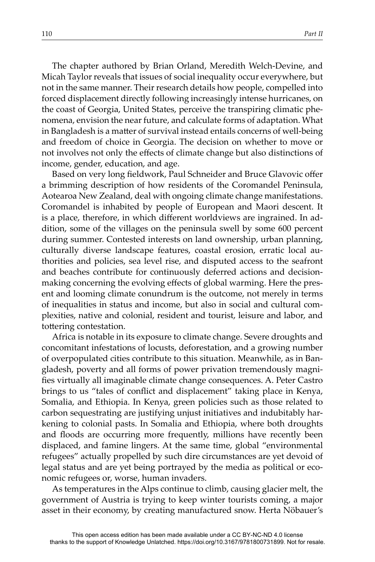The chapter authored by Brian Orland, Meredith Welch-Devine, and Micah Taylor reveals that issues of social inequality occur everywhere, but not in the same manner. Their research details how people, compelled into forced displacement directly following increasingly intense hurricanes, on the coast of Georgia, United States, perceive the transpiring climatic phenomena, envision the near future, and calculate forms of adaptation. What in Bangladesh is a matter of survival instead entails concerns of well-being and freedom of choice in Georgia. The decision on whether to move or not involves not only the effects of climate change but also distinctions of income, gender, education, and age.

Based on very long fieldwork, Paul Schneider and Bruce Glavovic offer a brimming description of how residents of the Coromandel Peninsula, Aotearoa New Zealand, deal with ongoing climate change manifestations. Coromandel is inhabited by people of European and Maori descent. It is a place, therefore, in which different worldviews are ingrained. In addition, some of the villages on the peninsula swell by some 600 percent during summer. Contested interests on land ownership, urban planning, culturally diverse landscape features, coastal erosion, erratic local authorities and policies, sea level rise, and disputed access to the seafront and beaches contribute for continuously deferred actions and decisionmaking concerning the evolving effects of global warming. Here the present and looming climate conundrum is the outcome, not merely in terms of inequalities in status and income, but also in social and cultural complexities, native and colonial, resident and tourist, leisure and labor, and tottering contestation.

Africa is notable in its exposure to climate change. Severe droughts and concomitant infestations of locusts, deforestation, and a growing number of overpopulated cities contribute to this situation. Meanwhile, as in Bangladesh, poverty and all forms of power privation tremendously magnifies virtually all imaginable climate change consequences. A. Peter Castro brings to us "tales of conflict and displacement" taking place in Kenya, Somalia, and Ethiopia. In Kenya, green policies such as those related to carbon sequestrating are justifying unjust initiatives and indubitably harkening to colonial pasts. In Somalia and Ethiopia, where both droughts and floods are occurring more frequently, millions have recently been displaced, and famine lingers. At the same time, global "environmental refugees" actually propelled by such dire circumstances are yet devoid of legal status and are yet being portrayed by the media as political or economic refugees or, worse, human invaders.

As temperatures in the Alps continue to climb, causing glacier melt, the government of Austria is trying to keep winter tourists coming, a major asset in their economy, by creating manufactured snow. Herta Nöbauer's